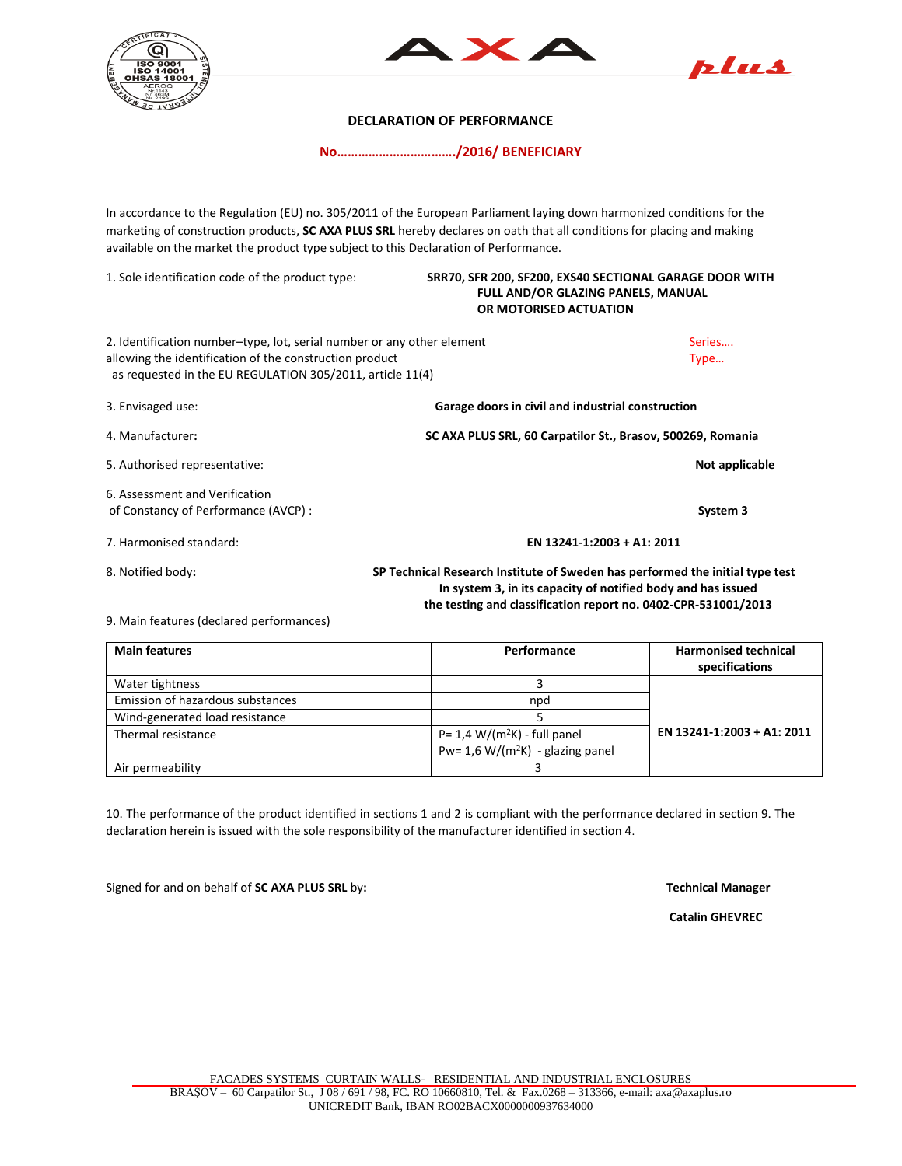





## **DECLARATION OF PERFORMANCE**

**No……………………………./2016/ BENEFICIARY**

In accordance to the Regulation (EU) no. 305/2011 of the European Parliament laying down harmonized conditions for the marketing of construction products, **SC AXA PLUS SRL** hereby declares on oath that all conditions for placing and making available on the market the product type subject to this Declaration of Performance.

1. Sole identification code of the product type: **SRR70, SFR 200, SF200, EXS40 SECTIONAL GARAGE DOOR WITH FULL AND/OR GLAZING PANELS, MANUAL OR MOTORISED ACTUATION** 2. Identification number–type, lot, serial number or any other element Series…. Series…. allowing the identification of the construction product Type ... Type ... as requested in the EU REGULATION 305/2011, article 11(4) 3. Envisaged use: **Garage doors in civil and industrial construction** 4. Manufacturer**: SC AXA PLUS SRL, 60 Carpatilor St., Brasov, 500269, Romania** 5. Authorised representative: **Not applicable** 6. Assessment and Verification of Constancy of Performance (AVCP) : **System 3** 7. Harmonised standard: **EN 13241-1:2003 + A1: 2011** 8. Notified body**: SP Technical Research Institute of Sweden has performed the initial type test In system 3, in its capacity of notified body and has issued the testing and classification report no. 0402-CPR-531001/2013** 

9. Main features (declared performances)

| <b>Main features</b>             | Performance                          | <b>Harmonised technical</b><br>specifications |
|----------------------------------|--------------------------------------|-----------------------------------------------|
| Water tightness                  |                                      |                                               |
| Emission of hazardous substances | npd                                  |                                               |
| Wind-generated load resistance   |                                      |                                               |
| Thermal resistance               | $P = 1.4 W/(m^2K)$ - full panel      | EN 13241-1:2003 + A1: 2011                    |
|                                  | Pw= 1,6 W/( $m^2K$ ) - glazing panel |                                               |
| Air permeability                 |                                      |                                               |

10. The performance of the product identified in sections 1 and 2 is compliant with the performance declared in section 9. The declaration herein is issued with the sole responsibility of the manufacturer identified in section 4.

Signed for and on behalf of **SC AXA PLUS SRL** by**: Technical Manager**

 **Catalin GHEVREC**